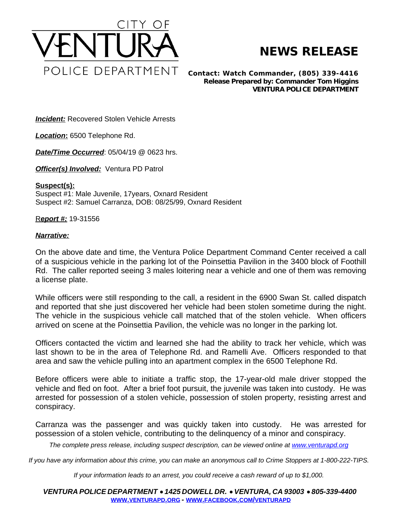

## **NEWS RELEASE**

*Contact: Watch Commander, (805) 339-4416 Release Prepared by: Commander Tom Higgins* **VENTURA POLICE DEPARTMENT**

**Incident:** Recovered Stolen Vehicle Arrests

*Location***:** 6500 Telephone Rd.

*Date/Time Occurred*: 05/04/19 @ 0623 hrs.

**Officer(s) Involved:** Ventura PD Patrol

## **Suspect(s):**

Suspect #1: Male Juvenile, 17years, Oxnard Resident Suspect #2: Samuel Carranza, DOB: 08/25/99, Oxnard Resident

## R*eport #:* 19-31556

## *Narrative:*

On the above date and time, the Ventura Police Department Command Center received a call of a suspicious vehicle in the parking lot of the Poinsettia Pavilion in the 3400 block of Foothill Rd. The caller reported seeing 3 males loitering near a vehicle and one of them was removing a license plate.

While officers were still responding to the call, a resident in the 6900 Swan St. called dispatch and reported that she just discovered her vehicle had been stolen sometime during the night. The vehicle in the suspicious vehicle call matched that of the stolen vehicle. When officers arrived on scene at the Poinsettia Pavilion, the vehicle was no longer in the parking lot.

Officers contacted the victim and learned she had the ability to track her vehicle, which was last shown to be in the area of Telephone Rd. and Ramelli Ave. Officers responded to that area and saw the vehicle pulling into an apartment complex in the 6500 Telephone Rd.

Before officers were able to initiate a traffic stop, the 17-year-old male driver stopped the vehicle and fled on foot. After a brief foot pursuit, the juvenile was taken into custody. He was arrested for possession of a stolen vehicle, possession of stolen property, resisting arrest and conspiracy.

Carranza was the passenger and was quickly taken into custody. He was arrested for possession of a stolen vehicle, contributing to the delinquency of a minor and conspiracy.

The complete press release, including suspect description, can be viewed online at [www.venturapd.org](http://www.venturapd.org)

*If you have any information about this crime, you can make an anonymous call to Crime Stoppers at 1-800-222-TIPS.*

*If your information leads to an arrest, you could receive a cash reward of up to \$1,000.*

*VENTURA POLICE DEPARTMENT* · *1425 DOWELL DR.* · *VENTURA, CA 93003* · *805-339-4400* **WWW.[VENTURAPD](http://www.venturapd.org).ORG** *-* **WWW.FACEBOOK.COM/[VENTURAPD](http://www.facebook.com/venturapd)**